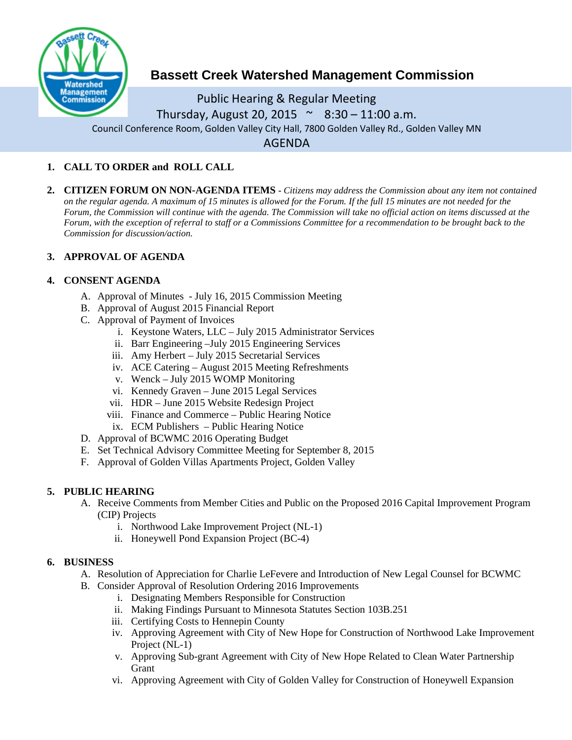

# **Bassett Creek Watershed Management Commission**

Public Hearing & Regular Meeting Thursday, August 20, 2015  $\sim$  8:30 – 11:00 a.m. Council Conference Room, Golden Valley City Hall, 7800 Golden Valley Rd., Golden Valley MN AGENDA

# **1. CALL TO ORDER and ROLL CALL**

**2. CITIZEN FORUM ON NON-AGENDA ITEMS -** *Citizens may address the Commission about any item not contained on the regular agenda. A maximum of 15 minutes is allowed for the Forum. If the full 15 minutes are not needed for the Forum, the Commission will continue with the agenda. The Commission will take no official action on items discussed at the Forum, with the exception of referral to staff or a Commissions Committee for a recommendation to be brought back to the Commission for discussion/action.*

# **3. APPROVAL OF AGENDA**

# **4. CONSENT AGENDA**

- A. Approval of Minutes July 16, 2015 Commission Meeting
- B. Approval of August 2015 Financial Report
- C. Approval of Payment of Invoices
	- i. Keystone Waters, LLC July 2015 Administrator Services
	- ii. Barr Engineering –July 2015 Engineering Services
	- iii. Amy Herbert July 2015 Secretarial Services
	- iv. ACE Catering August 2015 Meeting Refreshments
	- v. Wenck July 2015 WOMP Monitoring
	- vi. Kennedy Graven June 2015 Legal Services
	- vii. HDR June 2015 Website Redesign Project
	- viii. Finance and Commerce Public Hearing Notice
	- ix. ECM Publishers Public Hearing Notice
- D. Approval of BCWMC 2016 Operating Budget
- E. Set Technical Advisory Committee Meeting for September 8, 2015
- F. Approval of Golden Villas Apartments Project, Golden Valley

# **5. PUBLIC HEARING**

- A. Receive Comments from Member Cities and Public on the Proposed 2016 Capital Improvement Program (CIP) Projects
	- i. Northwood Lake Improvement Project (NL-1)
	- ii. Honeywell Pond Expansion Project (BC-4)

# **6. BUSINESS**

- A. Resolution of Appreciation for Charlie LeFevere and Introduction of New Legal Counsel for BCWMC
- B. Consider Approval of Resolution Ordering 2016 Improvements
	- i. Designating Members Responsible for Construction
	- ii. Making Findings Pursuant to Minnesota Statutes Section 103B.251
	- iii. Certifying Costs to Hennepin County
	- iv. Approving Agreement with City of New Hope for Construction of Northwood Lake Improvement Project (NL-1)
	- v. Approving Sub-grant Agreement with City of New Hope Related to Clean Water Partnership Grant
	- vi. Approving Agreement with City of Golden Valley for Construction of Honeywell Expansion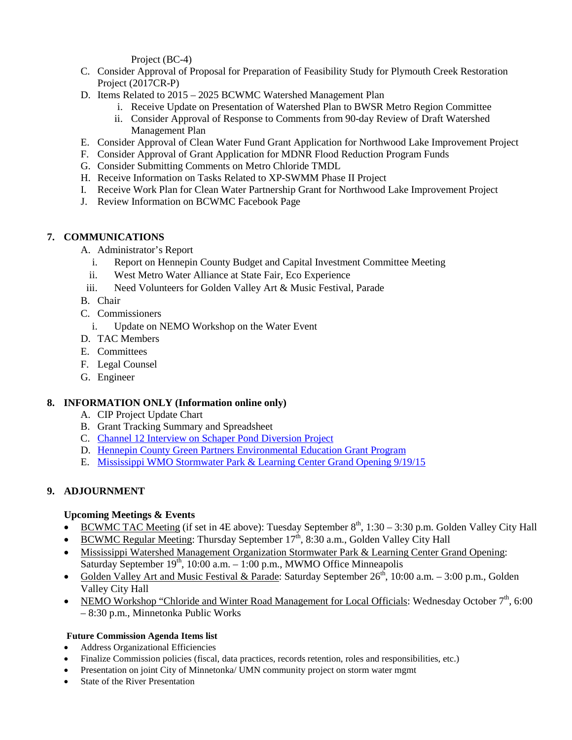Project (BC-4)

- C. Consider Approval of Proposal for Preparation of Feasibility Study for Plymouth Creek Restoration Project (2017CR-P)
- D. Items Related to 2015 2025 BCWMC Watershed Management Plan
	- i. Receive Update on Presentation of Watershed Plan to BWSR Metro Region Committee
	- ii. Consider Approval of Response to Comments from 90-day Review of Draft Watershed Management Plan
- E. Consider Approval of Clean Water Fund Grant Application for Northwood Lake Improvement Project
- F. Consider Approval of Grant Application for MDNR Flood Reduction Program Funds
- G. Consider Submitting Comments on Metro Chloride TMDL
- H. Receive Information on Tasks Related to XP-SWMM Phase II Project
- I. Receive Work Plan for Clean Water Partnership Grant for Northwood Lake Improvement Project
- J. Review Information on BCWMC Facebook Page

#### **7. COMMUNICATIONS**

A. Administrator's Report

- i. Report on Hennepin County Budget and Capital Investment Committee Meeting
- ii. West Metro Water Alliance at State Fair, Eco Experience
- iii. Need Volunteers for Golden Valley Art & Music Festival, Parade

B. Chair

- C. Commissioners
	- i. Update on NEMO Workshop on the Water Event
- D. TAC Members
- E. Committees
- F. Legal Counsel
- G. Engineer

# **8. INFORMATION ONLY (Information online only)**

- A. CIP Project Update Chart
- B. Grant Tracking Summary and Spreadsheet
- C. [Channel 12 Interview on Schaper Pond Diversion Project](http://www.twelve.tv/news/newsitem.aspx?newsid=324&newsitemid=28003)
- D. [Hennepin County Green Partners Environmental Education Grant Program](http://www.hennepin.us/greenpartners)
- E. [Mississippi WMO Stormwater Park & Learning Center Grand Opening 9/19/15](http://www.mwmo.org/splcgrandopening.html)

# **9. ADJOURNMENT**

#### **Upcoming Meetings & Events**

- BCWMC TAC Meeting (if set in 4E above): Tuesday September  $8<sup>th</sup>$ , 1:30 3:30 p.m. Golden Valley City Hall
- BCWMC Regular Meeting: Thursday September  $17<sup>th</sup>$ , 8:30 a.m., Golden Valley City Hall
- Mississippi Watershed Management Organization Stormwater Park & Learning Center Grand Opening: Saturday September  $19<sup>th</sup>$ , 10:00 a.m. – 1:00 p.m., MWMO Office Minneapolis
- Golden Valley Art and Music Festival & Parade: Saturday September  $26<sup>th</sup>$ , 10:00 a.m. 3:00 p.m., Golden Valley City Hall
- NEMO Workshop "Chloride and Winter Road Management for Local Officials: Wednesday October 7<sup>th</sup>, 6:00 – 8:30 p.m., Minnetonka Public Works

#### **Future Commission Agenda Items list**

- Address Organizational Efficiencies
- Finalize Commission policies (fiscal, data practices, records retention, roles and responsibilities, etc.)
- Presentation on joint City of Minnetonka/ UMN community project on storm water mgmt
- State of the River Presentation